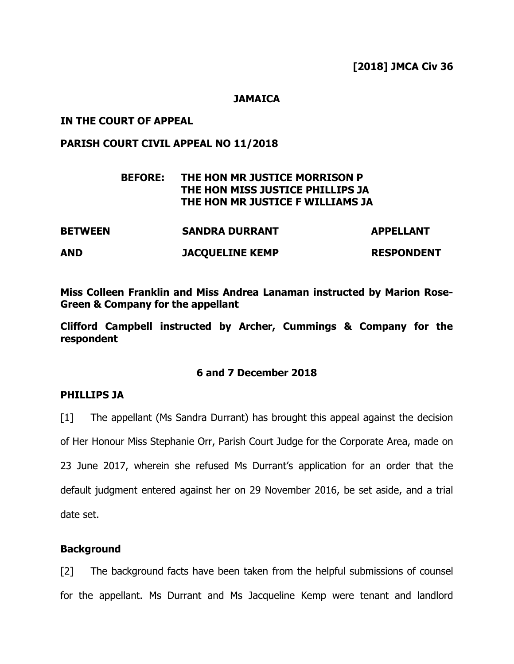# **JAMAICA**

# **IN THE COURT OF APPEAL**

# **PARISH COURT CIVIL APPEAL NO 11/2018**

# **BEFORE: THE HON MR JUSTICE MORRISON P THE HON MISS JUSTICE PHILLIPS JA THE HON MR JUSTICE F WILLIAMS JA**

| <b>BETWEEN</b> | <b>SANDRA DURRANT</b>  | <b>APPELLANT</b>  |
|----------------|------------------------|-------------------|
| AND            | <b>JACQUELINE KEMP</b> | <b>RESPONDENT</b> |

**Miss Colleen Franklin and Miss Andrea Lanaman instructed by Marion Rose-Green & Company for the appellant**

**Clifford Campbell instructed by Archer, Cummings & Company for the respondent** 

## **6 and 7 December 2018**

## **PHILLIPS JA**

[1] The appellant (Ms Sandra Durrant) has brought this appeal against the decision

of Her Honour Miss Stephanie Orr, Parish Court Judge for the Corporate Area, made on

23 June 2017, wherein she refused Ms Durrant's application for an order that the default judgment entered against her on 29 November 2016, be set aside, and a trial date set.

## **Background**

[2] The background facts have been taken from the helpful submissions of counsel for the appellant. Ms Durrant and Ms Jacqueline Kemp were tenant and landlord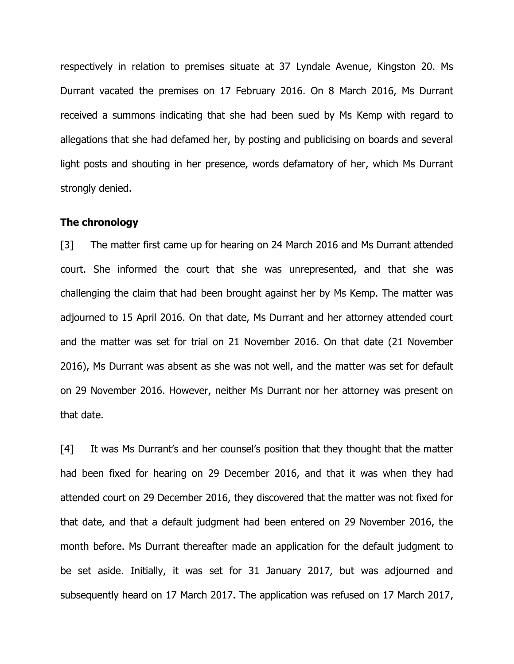respectively in relation to premises situate at 37 Lyndale Avenue, Kingston 20. Ms Durrant vacated the premises on 17 February 2016. On 8 March 2016, Ms Durrant received a summons indicating that she had been sued by Ms Kemp with regard to allegations that she had defamed her, by posting and publicising on boards and several light posts and shouting in her presence, words defamatory of her, which Ms Durrant strongly denied.

### **The chronology**

[3] The matter first came up for hearing on 24 March 2016 and Ms Durrant attended court. She informed the court that she was unrepresented, and that she was challenging the claim that had been brought against her by Ms Kemp. The matter was adjourned to 15 April 2016. On that date, Ms Durrant and her attorney attended court and the matter was set for trial on 21 November 2016. On that date (21 November 2016), Ms Durrant was absent as she was not well, and the matter was set for default on 29 November 2016. However, neither Ms Durrant nor her attorney was present on that date.

[4] It was Ms Durrant's and her counsel's position that they thought that the matter had been fixed for hearing on 29 December 2016, and that it was when they had attended court on 29 December 2016, they discovered that the matter was not fixed for that date, and that a default judgment had been entered on 29 November 2016, the month before. Ms Durrant thereafter made an application for the default judgment to be set aside. Initially, it was set for 31 January 2017, but was adjourned and subsequently heard on 17 March 2017. The application was refused on 17 March 2017,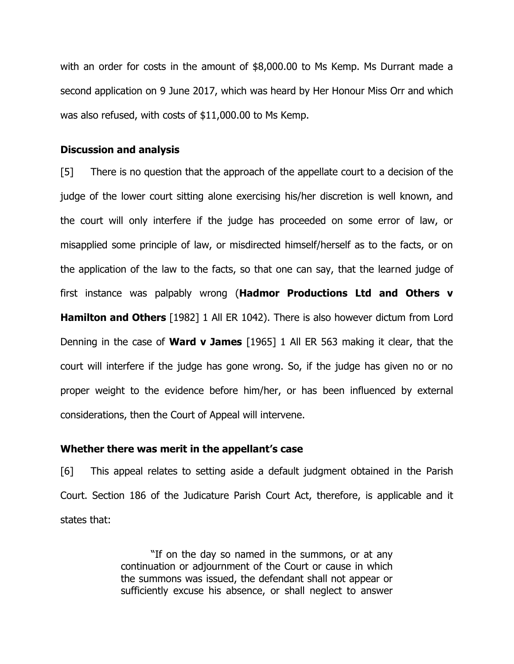with an order for costs in the amount of \$8,000.00 to Ms Kemp. Ms Durrant made a second application on 9 June 2017, which was heard by Her Honour Miss Orr and which was also refused, with costs of \$11,000.00 to Ms Kemp.

## **Discussion and analysis**

[5] There is no question that the approach of the appellate court to a decision of the judge of the lower court sitting alone exercising his/her discretion is well known, and the court will only interfere if the judge has proceeded on some error of law, or misapplied some principle of law, or misdirected himself/herself as to the facts, or on the application of the law to the facts, so that one can say, that the learned judge of first instance was palpably wrong (**Hadmor Productions Ltd and Others v Hamilton and Others** [1982] 1 All ER 1042). There is also however dictum from Lord Denning in the case of **Ward v James** [1965] 1 All ER 563 making it clear, that the court will interfere if the judge has gone wrong. So, if the judge has given no or no proper weight to the evidence before him/her, or has been influenced by external considerations, then the Court of Appeal will intervene.

## **Whether there was merit in the appellant's case**

[6] This appeal relates to setting aside a default judgment obtained in the Parish Court. Section 186 of the Judicature Parish Court Act, therefore, is applicable and it states that:

> "If on the day so named in the summons, or at any continuation or adjournment of the Court or cause in which the summons was issued, the defendant shall not appear or sufficiently excuse his absence, or shall neglect to answer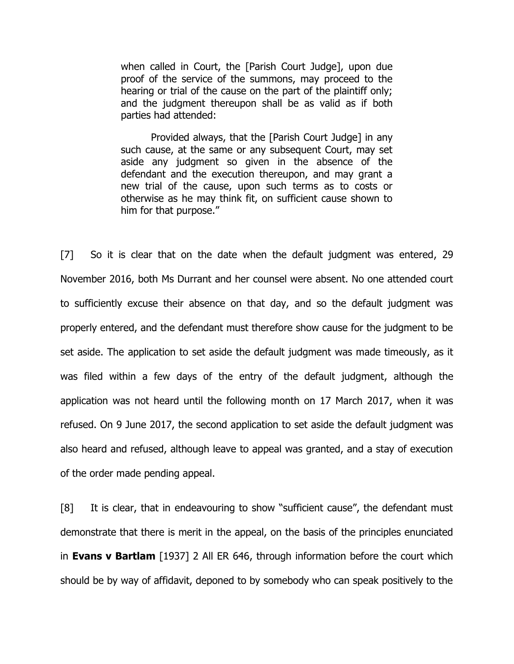when called in Court, the [Parish Court Judge], upon due proof of the service of the summons, may proceed to the hearing or trial of the cause on the part of the plaintiff only; and the judgment thereupon shall be as valid as if both parties had attended:

Provided always, that the [Parish Court Judge] in any such cause, at the same or any subsequent Court, may set aside any judgment so given in the absence of the defendant and the execution thereupon, and may grant a new trial of the cause, upon such terms as to costs or otherwise as he may think fit, on sufficient cause shown to him for that purpose."

[7] So it is clear that on the date when the default judgment was entered, 29 November 2016, both Ms Durrant and her counsel were absent. No one attended court to sufficiently excuse their absence on that day, and so the default judgment was properly entered, and the defendant must therefore show cause for the judgment to be set aside. The application to set aside the default judgment was made timeously, as it was filed within a few days of the entry of the default judgment, although the application was not heard until the following month on 17 March 2017, when it was refused. On 9 June 2017, the second application to set aside the default judgment was also heard and refused, although leave to appeal was granted, and a stay of execution of the order made pending appeal.

[8] It is clear, that in endeavouring to show "sufficient cause", the defendant must demonstrate that there is merit in the appeal, on the basis of the principles enunciated in **Evans v Bartlam** [1937] 2 All ER 646, through information before the court which should be by way of affidavit, deponed to by somebody who can speak positively to the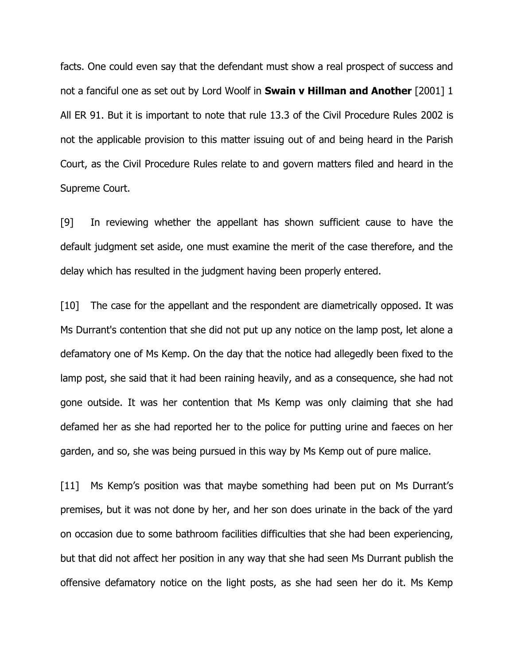facts. One could even say that the defendant must show a real prospect of success and not a fanciful one as set out by Lord Woolf in **Swain v Hillman and Another** [2001] 1 All ER 91. But it is important to note that rule 13.3 of the Civil Procedure Rules 2002 is not the applicable provision to this matter issuing out of and being heard in the Parish Court, as the Civil Procedure Rules relate to and govern matters filed and heard in the Supreme Court.

[9] In reviewing whether the appellant has shown sufficient cause to have the default judgment set aside, one must examine the merit of the case therefore, and the delay which has resulted in the judgment having been properly entered.

[10] The case for the appellant and the respondent are diametrically opposed. It was Ms Durrant's contention that she did not put up any notice on the lamp post, let alone a defamatory one of Ms Kemp. On the day that the notice had allegedly been fixed to the lamp post, she said that it had been raining heavily, and as a consequence, she had not gone outside. It was her contention that Ms Kemp was only claiming that she had defamed her as she had reported her to the police for putting urine and faeces on her garden, and so, she was being pursued in this way by Ms Kemp out of pure malice.

[11] Ms Kemp's position was that maybe something had been put on Ms Durrant's premises, but it was not done by her, and her son does urinate in the back of the yard on occasion due to some bathroom facilities difficulties that she had been experiencing, but that did not affect her position in any way that she had seen Ms Durrant publish the offensive defamatory notice on the light posts, as she had seen her do it. Ms Kemp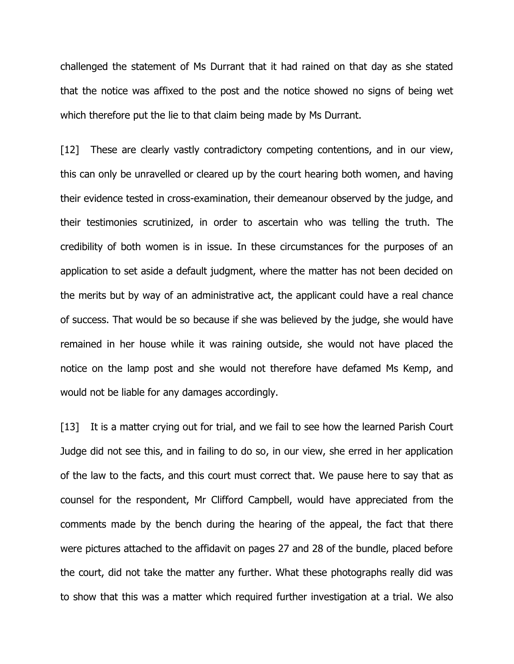challenged the statement of Ms Durrant that it had rained on that day as she stated that the notice was affixed to the post and the notice showed no signs of being wet which therefore put the lie to that claim being made by Ms Durrant.

[12] These are clearly vastly contradictory competing contentions, and in our view, this can only be unravelled or cleared up by the court hearing both women, and having their evidence tested in cross-examination, their demeanour observed by the judge, and their testimonies scrutinized, in order to ascertain who was telling the truth. The credibility of both women is in issue. In these circumstances for the purposes of an application to set aside a default judgment, where the matter has not been decided on the merits but by way of an administrative act, the applicant could have a real chance of success. That would be so because if she was believed by the judge, she would have remained in her house while it was raining outside, she would not have placed the notice on the lamp post and she would not therefore have defamed Ms Kemp, and would not be liable for any damages accordingly.

[13] It is a matter crying out for trial, and we fail to see how the learned Parish Court Judge did not see this, and in failing to do so, in our view, she erred in her application of the law to the facts, and this court must correct that. We pause here to say that as counsel for the respondent, Mr Clifford Campbell, would have appreciated from the comments made by the bench during the hearing of the appeal, the fact that there were pictures attached to the affidavit on pages 27 and 28 of the bundle, placed before the court, did not take the matter any further. What these photographs really did was to show that this was a matter which required further investigation at a trial. We also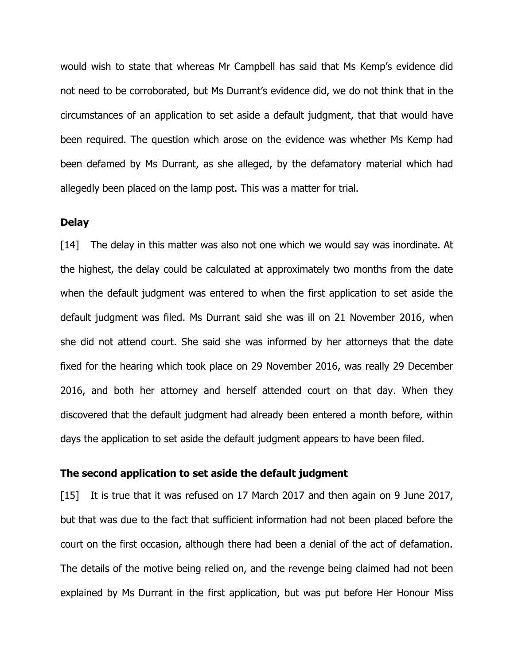would wish to state that whereas Mr Campbell has said that Ms Kemp's evidence did not need to be corroborated, but Ms Durrant's evidence did, we do not think that in the circumstances of an application to set aside a default judgment, that that would have been required. The question which arose on the evidence was whether Ms Kemp had been defamed by Ms Durrant, as she alleged, by the defamatory material which had allegedly been placed on the lamp post. This was a matter for trial.

### **Delay**

[14] The delay in this matter was also not one which we would say was inordinate. At the highest, the delay could be calculated at approximately two months from the date when the default judgment was entered to when the first application to set aside the default judgment was filed. Ms Durrant said she was ill on 21 November 2016, when she did not attend court. She said she was informed by her attorneys that the date fixed for the hearing which took place on 29 November 2016, was really 29 December 2016, and both her attorney and herself attended court on that day. When they discovered that the default judgment had already been entered a month before, within days the application to set aside the default judgment appears to have been filed.

#### **The second application to set aside the default judgment**

[15] It is true that it was refused on 17 March 2017 and then again on 9 June 2017, but that was due to the fact that sufficient information had not been placed before the court on the first occasion, although there had been a denial of the act of defamation. The details of the motive being relied on, and the revenge being claimed had not been explained by Ms Durrant in the first application, but was put before Her Honour Miss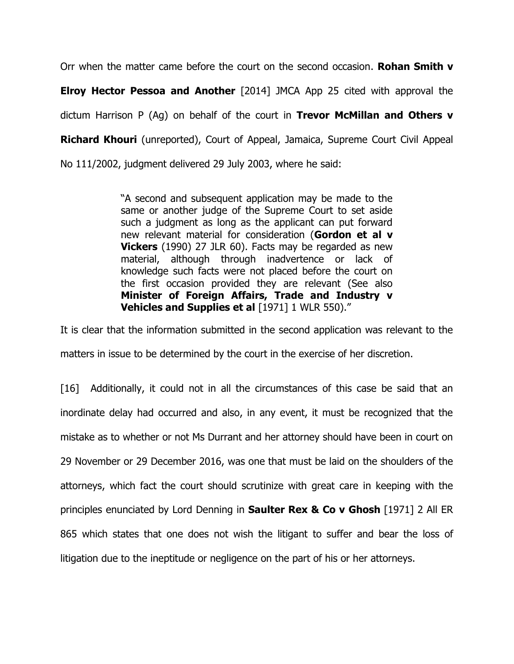Orr when the matter came before the court on the second occasion. **Rohan Smith v Elroy Hector Pessoa and Another** [2014] JMCA App 25 cited with approval the dictum Harrison P (Ag) on behalf of the court in **Trevor McMillan and Others v Richard Khouri** (unreported), Court of Appeal, Jamaica, Supreme Court Civil Appeal

No 111/2002, judgment delivered 29 July 2003, where he said:

"A second and subsequent application may be made to the same or another judge of the Supreme Court to set aside such a judgment as long as the applicant can put forward new relevant material for consideration (**Gordon et al v Vickers** (1990) 27 JLR 60). Facts may be regarded as new material, although through inadvertence or lack of knowledge such facts were not placed before the court on the first occasion provided they are relevant (See also **Minister of Foreign Affairs, Trade and Industry v Vehicles and Supplies et al** [1971] 1 WLR 550)."

It is clear that the information submitted in the second application was relevant to the matters in issue to be determined by the court in the exercise of her discretion.

[16] Additionally, it could not in all the circumstances of this case be said that an inordinate delay had occurred and also, in any event, it must be recognized that the mistake as to whether or not Ms Durrant and her attorney should have been in court on 29 November or 29 December 2016, was one that must be laid on the shoulders of the attorneys, which fact the court should scrutinize with great care in keeping with the principles enunciated by Lord Denning in **Saulter Rex & Co v Ghosh** [1971] 2 All ER 865 which states that one does not wish the litigant to suffer and bear the loss of litigation due to the ineptitude or negligence on the part of his or her attorneys.